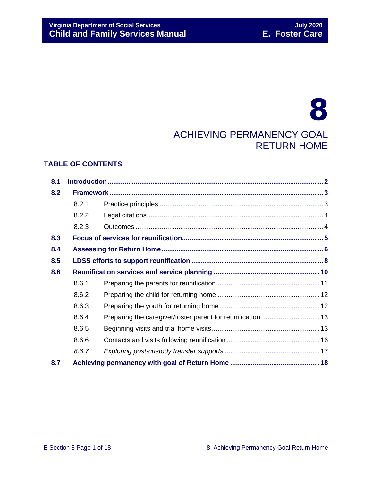# **Virginia Department of Social Services**<br> **Child and Family Services Manual Child and Family Services Manual Child and Family Services Manual Child and Family Services Manual**

# 8 ACHIEVING PERMANENCY GOAL RETURN HOME

## **TABLE OF CONTENTS**

| 8.1 |       |                                                             |  |
|-----|-------|-------------------------------------------------------------|--|
| 8.2 |       |                                                             |  |
|     | 8.2.1 |                                                             |  |
|     | 8.2.2 |                                                             |  |
|     | 8.2.3 |                                                             |  |
| 8.3 |       |                                                             |  |
| 8.4 |       |                                                             |  |
| 8.5 |       |                                                             |  |
| 8.6 |       |                                                             |  |
|     | 8.6.1 |                                                             |  |
|     | 8.6.2 |                                                             |  |
|     | 8.6.3 |                                                             |  |
|     | 8.6.4 | Preparing the caregiver/foster parent for reunification  13 |  |
|     | 8.6.5 |                                                             |  |
|     | 8.6.6 |                                                             |  |
|     | 8.6.7 |                                                             |  |
| 8.7 |       |                                                             |  |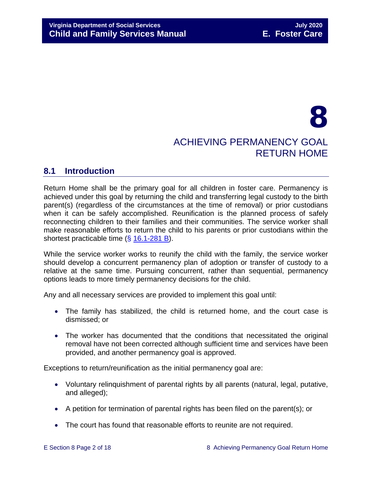# 8 ACHIEVING PERMANENCY GOAL RETURN HOME

## <span id="page-1-0"></span>**8.1 Introduction**

Return Home shall be the primary goal for all children in foster care. Permanency is achieved under this goal by returning the child and transferring legal custody to the birth parent(s) (regardless of the circumstances at the time of removal) or prior custodians when it can be safely accomplished. Reunification is the planned process of safely reconnecting children to their families and their communities. The service worker shall make reasonable efforts to return the child to his parents or prior custodians within the shortest practicable time (§ [16.1-281 B\)](https://law.lis.virginia.gov/vacode/16.1-281/).

While the service worker works to reunify the child with the family, the service worker should develop a concurrent permanency plan of adoption or transfer of custody to a relative at the same time. Pursuing concurrent, rather than sequential, permanency options leads to more timely permanency decisions for the child.

Any and all necessary services are provided to implement this goal until:

- The family has stabilized, the child is returned home, and the court case is dismissed; or
- The worker has documented that the conditions that necessitated the original removal have not been corrected although sufficient time and services have been provided, and another permanency goal is approved.

Exceptions to return/reunification as the initial permanency goal are:

- Voluntary relinquishment of parental rights by all parents (natural, legal, putative, and alleged);
- A petition for termination of parental rights has been filed on the parent(s); or
- The court has found that reasonable efforts to reunite are not required.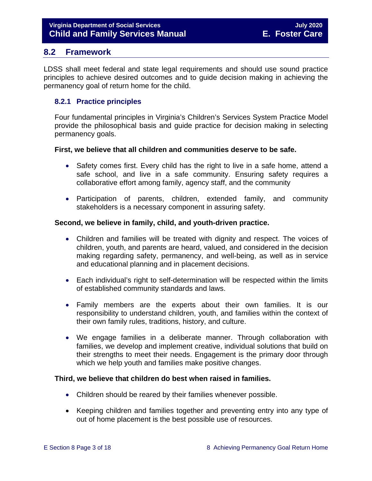## <span id="page-2-0"></span>**8.2 Framework**

LDSS shall meet federal and state legal requirements and should use sound practice principles to achieve desired outcomes and to guide decision making in achieving the permanency goal of return home for the child.

## <span id="page-2-1"></span>**8.2.1 Practice principles**

Four fundamental principles in Virginia's Children's Services System Practice Model provide the philosophical basis and guide practice for decision making in selecting permanency goals.

#### **First, we believe that all children and communities deserve to be safe.**

- Safety comes first. Every child has the right to live in a safe home, attend a safe school, and live in a safe community. Ensuring safety requires a collaborative effort among family, agency staff, and the community
- Participation of parents, children, extended family, and community stakeholders is a necessary component in assuring safety.

#### **Second, we believe in family, child, and youth-driven practice.**

- Children and families will be treated with dignity and respect. The voices of children, youth, and parents are heard, valued, and considered in the decision making regarding safety, permanency, and well-being, as well as in service and educational planning and in placement decisions.
- Each individual's right to self-determination will be respected within the limits of established community standards and laws.
- Family members are the experts about their own families. It is our responsibility to understand children, youth, and families within the context of their own family rules, traditions, history, and culture.
- We engage families in a deliberate manner. Through collaboration with families, we develop and implement creative, individual solutions that build on their strengths to meet their needs. Engagement is the primary door through which we help youth and families make positive changes.

## **Third, we believe that children do best when raised in families.**

- Children should be reared by their families whenever possible.
- Keeping children and families together and preventing entry into any type of out of home placement is the best possible use of resources.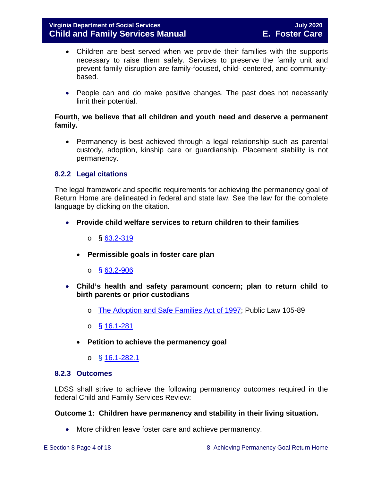- Children are best served when we provide their families with the supports necessary to raise them safely. Services to preserve the family unit and prevent family disruption are family-focused, child- centered, and communitybased.
- People can and do make positive changes. The past does not necessarily limit their potential.

#### **Fourth, we believe that all children and youth need and deserve a permanent family.**

• Permanency is best achieved through a legal relationship such as parental custody, adoption, kinship care or guardianship. Placement stability is not permanency.

## <span id="page-3-0"></span>**8.2.2 Legal citations**

The legal framework and specific requirements for achieving the permanency goal of Return Home are delineated in federal and state law. See the law for the complete language by clicking on the citation.

- **Provide child welfare services to return children to their families**
	- o § [63.2-319](https://law.lis.virginia.gov/vacode/63.2-319/)
	- **Permissible goals in foster care plan** 
		- $\circ$  § [63.2-906](https://law.lis.virginia.gov/vacode/63.2-906/)
- **Child's health and safety paramount concern; plan to return child to birth parents or prior custodians**
	- o [The Adoption and Safe Families Act of 1997;](http://www.nicwa.org/law/asfa/ASFAII.pdf) Public Law 105-89
	- o § [16.1-281](https://law.lis.virginia.gov/vacode/16.1-281/)
	- **Petition to achieve the permanency goal** 
		- o § [16.1-282.1](https://law.lis.virginia.gov/vacode/16.1-282.1/)

#### <span id="page-3-1"></span>**8.2.3 Outcomes**

LDSS shall strive to achieve the following permanency outcomes required in the federal Child and Family Services Review:

#### **Outcome 1: Children have permanency and stability in their living situation.**

• More children leave foster care and achieve permanency.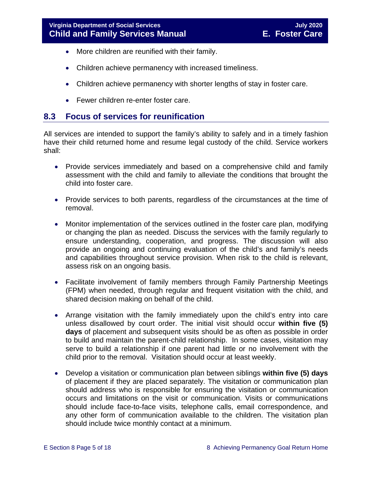- More children are reunified with their family.
- Children achieve permanency with increased timeliness.
- Children achieve permanency with shorter lengths of stay in foster care.
- Fewer children re-enter foster care.

# <span id="page-4-0"></span>**8.3 Focus of services for reunification**

All services are intended to support the family's ability to safely and in a timely fashion have their child returned home and resume legal custody of the child. Service workers shall:

- Provide services immediately and based on a comprehensive child and family assessment with the child and family to alleviate the conditions that brought the child into foster care.
- Provide services to both parents, regardless of the circumstances at the time of removal.
- Monitor implementation of the services outlined in the foster care plan, modifying or changing the plan as needed. Discuss the services with the family regularly to ensure understanding, cooperation, and progress. The discussion will also provide an ongoing and continuing evaluation of the child's and family's needs and capabilities throughout service provision. When risk to the child is relevant, assess risk on an ongoing basis.
- Facilitate involvement of family members through Family Partnership Meetings (FPM) when needed, through regular and frequent visitation with the child, and shared decision making on behalf of the child.
- Arrange visitation with the family immediately upon the child's entry into care unless disallowed by court order. The initial visit should occur **within five (5) days** of placement and subsequent visits should be as often as possible in order to build and maintain the parent-child relationship. In some cases, visitation may serve to build a relationship if one parent had little or no involvement with the child prior to the removal. Visitation should occur at least weekly.
- Develop a visitation or communication plan between siblings **within five (5) days** of placement if they are placed separately. The visitation or communication plan should address who is responsible for ensuring the visitation or communication occurs and limitations on the visit or communication. Visits or communications should include face-to-face visits, telephone calls, email correspondence, and any other form of communication available to the children. The visitation plan should include twice monthly contact at a minimum.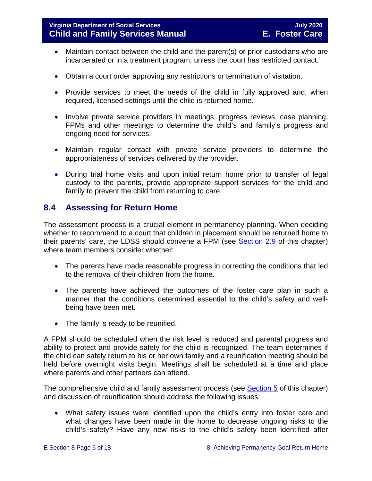- Maintain contact between the child and the parent(s) or prior custodians who are incarcerated or in a treatment program, unless the court has restricted contact.
- Obtain a court order approving any restrictions or termination of visitation.
- Provide services to meet the needs of the child in fully approved and, when required, licensed settings until the child is returned home.
- Involve private service providers in meetings, progress reviews, case planning, FPMs and other meetings to determine the child's and family's progress and ongoing need for services.
- Maintain regular contact with private service providers to determine the appropriateness of services delivered by the provider.
- During trial home visits and upon initial return home prior to transfer of legal custody to the parents, provide appropriate support services for the child and family to prevent the child from returning to care.

# <span id="page-5-0"></span>**8.4 Assessing for Return Home**

The assessment process is a crucial element in permanency planning. When deciding whether to recommend to a court that children in placement should be returned home to their parents' care, the LDSS should convene a FPM (see [Section 2.9](https://fusion.dss.virginia.gov/Portals/%5bdfs%5d/Files/DFS%20Manuals/Foster%20Care%20Manuals/Foster%20Care%20Manual%2007-2020/Final%20Foster%20Care%20Manual%2007-2020/section_2_engaging_the_child_family_and_significant_adults.pdf#page=19) of this chapter) where team members consider whether:

- The parents have made reasonable progress in correcting the conditions that led to the removal of their children from the home.
- The parents have achieved the outcomes of the foster care plan in such a manner that the conditions determined essential to the child's safety and wellbeing have been met.
- The family is ready to be reunified.

A FPM should be scheduled when the risk level is reduced and parental progress and ability to protect and provide safety for the child is recognized. The team determines if the child can safely return to his or her own family and a reunification meeting should be held before overnight visits begin. Meetings shall be scheduled at a time and place where parents and other partners can attend.

The comprehensive child and family assessment process (see [Section 5](https://fusion.dss.virginia.gov/Portals/%5bdfs%5d/Files/DFS%20Manuals/Foster%20Care%20Manuals/Foster%20Care%20Manual%2007-2020/Final%20Foster%20Care%20Manual%2007-2020/section_5_conducting_child_and_family_assessment.pdf) of this chapter) and discussion of reunification should address the following issues:

• What safety issues were identified upon the child's entry into foster care and what changes have been made in the home to decrease ongoing risks to the child's safety? Have any new risks to the child's safety been identified after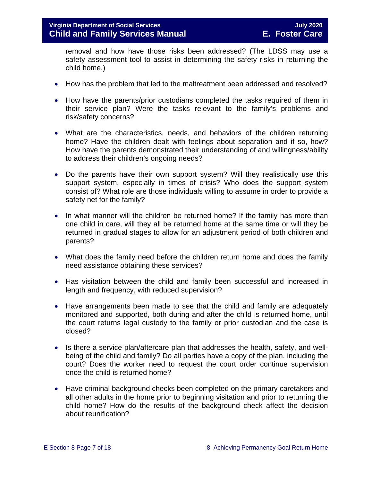removal and how have those risks been addressed? (The LDSS may use a safety assessment tool to assist in determining the safety risks in returning the child home.)

- How has the problem that led to the maltreatment been addressed and resolved?
- How have the parents/prior custodians completed the tasks required of them in their service plan? Were the tasks relevant to the family's problems and risk/safety concerns?
- What are the characteristics, needs, and behaviors of the children returning home? Have the children dealt with feelings about separation and if so, how? How have the parents demonstrated their understanding of and willingness/ability to address their children's ongoing needs?
- Do the parents have their own support system? Will they realistically use this support system, especially in times of crisis? Who does the support system consist of? What role are those individuals willing to assume in order to provide a safety net for the family?
- In what manner will the children be returned home? If the family has more than one child in care, will they all be returned home at the same time or will they be returned in gradual stages to allow for an adjustment period of both children and parents?
- What does the family need before the children return home and does the family need assistance obtaining these services?
- Has visitation between the child and family been successful and increased in length and frequency, with reduced supervision?
- Have arrangements been made to see that the child and family are adequately monitored and supported, both during and after the child is returned home, until the court returns legal custody to the family or prior custodian and the case is closed?
- Is there a service plan/aftercare plan that addresses the health, safety, and wellbeing of the child and family? Do all parties have a copy of the plan, including the court? Does the worker need to request the court order continue supervision once the child is returned home?
- Have criminal background checks been completed on the primary caretakers and all other adults in the home prior to beginning visitation and prior to returning the child home? How do the results of the background check affect the decision about reunification?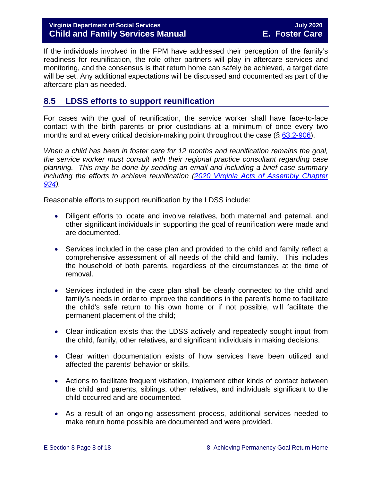## **Virginia Department of Social Services July 2020 Child and Family Services Manual E. Foster Care**

If the individuals involved in the FPM have addressed their perception of the family's readiness for reunification, the role other partners will play in aftercare services and monitoring, and the consensus is that return home can safely be achieved, a target date will be set. Any additional expectations will be discussed and documented as part of the aftercare plan as needed.

# <span id="page-7-0"></span>**8.5 LDSS efforts to support reunification**

For cases with the goal of reunification, the service worker shall have face-to-face contact with the birth parents or prior custodians at a minimum of once every two months and at every critical decision-making point throughout the case  $(\S$  [63.2-906\)](https://law.lis.virginia.gov/vacode/63.2-906).

*When a child has been in foster care for 12 months and reunification remains the goal, the service worker must consult with their regional practice consultant regarding case planning. This may be done by sending an email and including a brief case summary including the efforts to achieve reunification [\(2020 Virginia Acts of Assembly Chapter](https://lis.virginia.gov/cgi-bin/legp604.exe?201+ful+CHAP0934)  [934\)](https://lis.virginia.gov/cgi-bin/legp604.exe?201+ful+CHAP0934).* 

Reasonable efforts to support reunification by the LDSS include:

- Diligent efforts to locate and involve relatives, both maternal and paternal, and other significant individuals in supporting the goal of reunification were made and are documented.
- Services included in the case plan and provided to the child and family reflect a comprehensive assessment of all needs of the child and family. This includes the household of both parents, regardless of the circumstances at the time of removal.
- Services included in the case plan shall be clearly connected to the child and family's needs in order to improve the conditions in the parent's home to facilitate the child's safe return to his own home or if not possible, will facilitate the permanent placement of the child;
- Clear indication exists that the LDSS actively and repeatedly sought input from the child, family, other relatives, and significant individuals in making decisions.
- Clear written documentation exists of how services have been utilized and affected the parents' behavior or skills.
- Actions to facilitate frequent visitation, implement other kinds of contact between the child and parents, siblings, other relatives, and individuals significant to the child occurred and are documented.
- As a result of an ongoing assessment process, additional services needed to make return home possible are documented and were provided.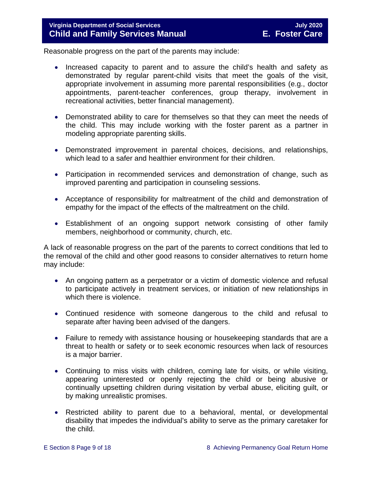Reasonable progress on the part of the parents may include:

- Increased capacity to parent and to assure the child's health and safety as demonstrated by regular parent-child visits that meet the goals of the visit, appropriate involvement in assuming more parental responsibilities (e.g., doctor appointments, parent-teacher conferences, group therapy, involvement in recreational activities, better financial management).
- Demonstrated ability to care for themselves so that they can meet the needs of the child. This may include working with the foster parent as a partner in modeling appropriate parenting skills.
- Demonstrated improvement in parental choices, decisions, and relationships, which lead to a safer and healthier environment for their children.
- Participation in recommended services and demonstration of change, such as improved parenting and participation in counseling sessions.
- Acceptance of responsibility for maltreatment of the child and demonstration of empathy for the impact of the effects of the maltreatment on the child.
- Establishment of an ongoing support network consisting of other family members, neighborhood or community, church, etc.

A lack of reasonable progress on the part of the parents to correct conditions that led to the removal of the child and other good reasons to consider alternatives to return home may include:

- An ongoing pattern as a perpetrator or a victim of domestic violence and refusal to participate actively in treatment services, or initiation of new relationships in which there is violence.
- Continued residence with someone dangerous to the child and refusal to separate after having been advised of the dangers.
- Failure to remedy with assistance housing or housekeeping standards that are a threat to health or safety or to seek economic resources when lack of resources is a major barrier.
- Continuing to miss visits with children, coming late for visits, or while visiting, appearing uninterested or openly rejecting the child or being abusive or continually upsetting children during visitation by verbal abuse, eliciting guilt, or by making unrealistic promises.
- Restricted ability to parent due to a behavioral, mental, or developmental disability that impedes the individual's ability to serve as the primary caretaker for the child.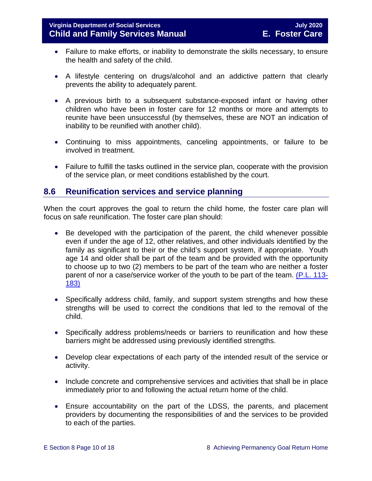- Failure to make efforts, or inability to demonstrate the skills necessary, to ensure the health and safety of the child.
- A lifestyle centering on drugs/alcohol and an addictive pattern that clearly prevents the ability to adequately parent.
- A previous birth to a subsequent substance-exposed infant or having other children who have been in foster care for 12 months or more and attempts to reunite have been unsuccessful (by themselves, these are NOT an indication of inability to be reunified with another child).
- Continuing to miss appointments, canceling appointments, or failure to be involved in treatment.
- Failure to fulfill the tasks outlined in the service plan, cooperate with the provision of the service plan, or meet conditions established by the court.

# <span id="page-9-0"></span>**8.6 Reunification services and service planning**

When the court approves the goal to return the child home, the foster care plan will focus on safe reunification. The foster care plan should:

- Be developed with the participation of the parent, the child whenever possible even if under the age of 12, other relatives, and other individuals identified by the family as significant to their or the child's support system, if appropriate. Youth age 14 and older shall be part of the team and be provided with the opportunity to choose up to two (2) members to be part of the team who are neither a foster parent of nor a case/service worker of the youth to be part of the team. [\(P.L. 113-](https://www.congress.gov/113/plaws/publ183/PLAW-113publ183.pdf) [183\)](https://www.congress.gov/113/plaws/publ183/PLAW-113publ183.pdf)
- Specifically address child, family, and support system strengths and how these strengths will be used to correct the conditions that led to the removal of the child.
- Specifically address problems/needs or barriers to reunification and how these barriers might be addressed using previously identified strengths.
- Develop clear expectations of each party of the intended result of the service or activity.
- Include concrete and comprehensive services and activities that shall be in place immediately prior to and following the actual return home of the child.
- Ensure accountability on the part of the LDSS, the parents, and placement providers by documenting the responsibilities of and the services to be provided to each of the parties.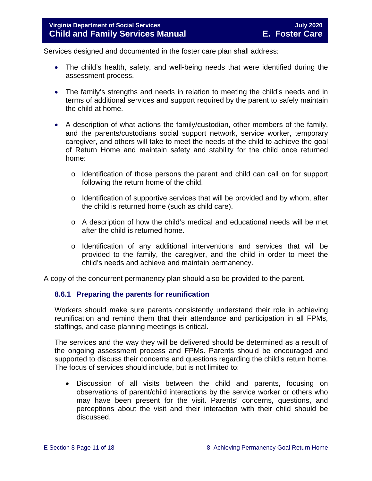Services designed and documented in the foster care plan shall address:

- The child's health, safety, and well-being needs that were identified during the assessment process.
- The family's strengths and needs in relation to meeting the child's needs and in terms of additional services and support required by the parent to safely maintain the child at home.
- A description of what actions the family/custodian, other members of the family, and the parents/custodians social support network, service worker, temporary caregiver, and others will take to meet the needs of the child to achieve the goal of Return Home and maintain safety and stability for the child once returned home:
	- o Identification of those persons the parent and child can call on for support following the return home of the child.
	- o Identification of supportive services that will be provided and by whom, after the child is returned home (such as child care).
	- o A description of how the child's medical and educational needs will be met after the child is returned home.
	- o Identification of any additional interventions and services that will be provided to the family, the caregiver, and the child in order to meet the child's needs and achieve and maintain permanency.

A copy of the concurrent permanency plan should also be provided to the parent.

## <span id="page-10-0"></span>**8.6.1 Preparing the parents for reunification**

Workers should make sure parents consistently understand their role in achieving reunification and remind them that their attendance and participation in all FPMs, staffings, and case planning meetings is critical.

The services and the way they will be delivered should be determined as a result of the ongoing assessment process and FPMs. Parents should be encouraged and supported to discuss their concerns and questions regarding the child's return home. The focus of services should include, but is not limited to:

• Discussion of all visits between the child and parents, focusing on observations of parent/child interactions by the service worker or others who may have been present for the visit. Parents' concerns, questions, and perceptions about the visit and their interaction with their child should be discussed.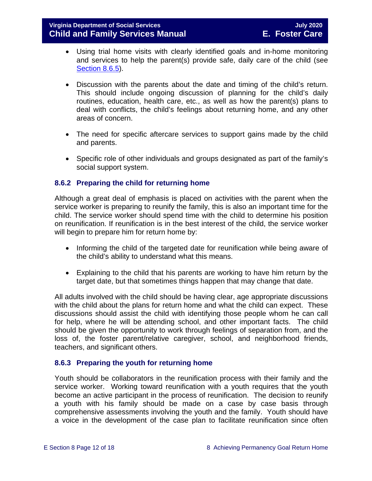- Using trial home visits with clearly identified goals and in-home monitoring and services to help the parent(s) provide safe, daily care of the child (see [Section](#page-12-1) 8.6.5).
- Discussion with the parents about the date and timing of the child's return. This should include ongoing discussion of planning for the child's daily routines, education, health care, etc., as well as how the parent(s) plans to deal with conflicts, the child's feelings about returning home, and any other areas of concern.
- The need for specific aftercare services to support gains made by the child and parents.
- Specific role of other individuals and groups designated as part of the family's social support system.

## <span id="page-11-0"></span>**8.6.2 Preparing the child for returning home**

Although a great deal of emphasis is placed on activities with the parent when the service worker is preparing to reunify the family, this is also an important time for the child. The service worker should spend time with the child to determine his position on reunification. If reunification is in the best interest of the child, the service worker will begin to prepare him for return home by:

- Informing the child of the targeted date for reunification while being aware of the child's ability to understand what this means.
- Explaining to the child that his parents are working to have him return by the target date, but that sometimes things happen that may change that date.

All adults involved with the child should be having clear, age appropriate discussions with the child about the plans for return home and what the child can expect. These discussions should assist the child with identifying those people whom he can call for help, where he will be attending school, and other important facts. The child should be given the opportunity to work through feelings of separation from, and the loss of, the foster parent/relative caregiver, school, and neighborhood friends, teachers, and significant others.

## <span id="page-11-1"></span>**8.6.3 Preparing the youth for returning home**

Youth should be collaborators in the reunification process with their family and the service worker. Working toward reunification with a youth requires that the youth become an active participant in the process of reunification. The decision to reunify a youth with his family should be made on a case by case basis through comprehensive assessments involving the youth and the family. Youth should have a voice in the development of the case plan to facilitate reunification since often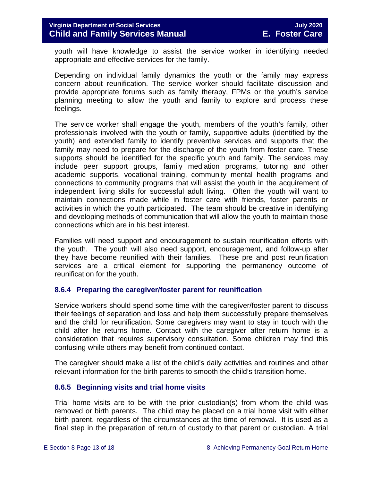youth will have knowledge to assist the service worker in identifying needed appropriate and effective services for the family.

Depending on individual family dynamics the youth or the family may express concern about reunification. The service worker should facilitate discussion and provide appropriate forums such as family therapy, FPMs or the youth's service planning meeting to allow the youth and family to explore and process these feelings.

The service worker shall engage the youth, members of the youth's family, other professionals involved with the youth or family, supportive adults (identified by the youth) and extended family to identify preventive services and supports that the family may need to prepare for the discharge of the youth from foster care. These supports should be identified for the specific youth and family. The services may include peer support groups, family mediation programs, tutoring and other academic supports, vocational training, community mental health programs and connections to community programs that will assist the youth in the acquirement of independent living skills for successful adult living. Often the youth will want to maintain connections made while in foster care with friends, foster parents or activities in which the youth participated. The team should be creative in identifying and developing methods of communication that will allow the youth to maintain those connections which are in his best interest.

Families will need support and encouragement to sustain reunification efforts with the youth. The youth will also need support, encouragement, and follow-up after they have become reunified with their families. These pre and post reunification services are a critical element for supporting the permanency outcome of reunification for the youth.

## <span id="page-12-0"></span>**8.6.4 Preparing the caregiver/foster parent for reunification**

Service workers should spend some time with the caregiver/foster parent to discuss their feelings of separation and loss and help them successfully prepare themselves and the child for reunification. Some caregivers may want to stay in touch with the child after he returns home. Contact with the caregiver after return home is a consideration that requires supervisory consultation. Some children may find this confusing while others may benefit from continued contact.

The caregiver should make a list of the child's daily activities and routines and other relevant information for the birth parents to smooth the child's transition home.

## <span id="page-12-1"></span>**8.6.5 Beginning visits and trial home visits**

Trial home visits are to be with the prior custodian(s) from whom the child was removed or birth parents. The child may be placed on a trial home visit with either birth parent, regardless of the circumstances at the time of removal. It is used as a final step in the preparation of return of custody to that parent or custodian. A trial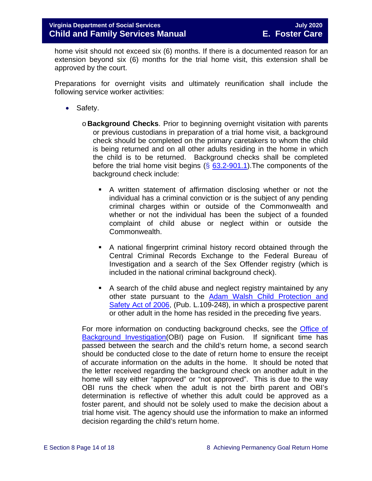home visit should not exceed six (6) months. If there is a documented reason for an extension beyond six (6) months for the trial home visit, this extension shall be approved by the court.

Preparations for overnight visits and ultimately reunification shall include the following service worker activities:

- Safety.
	- o **Background Checks**. Prior to beginning overnight visitation with parents or previous custodians in preparation of a trial home visit, a background check should be completed on the primary caretakers to whom the child is being returned and on all other adults residing in the home in which the child is to be returned. Background checks shall be completed before the trial home visit begins  $(\S$  [63.2-901.1\)](https://law.lis.virginia.gov/vacode/63.2-901.1/). The components of the background check include:
		- A written statement of affirmation disclosing whether or not the individual has a criminal conviction or is the subject of any pending criminal charges within or outside of the Commonwealth and whether or not the individual has been the subject of a founded complaint of child abuse or neglect within or outside the Commonwealth.
		- A national fingerprint criminal history record obtained through the Central Criminal Records Exchange to the Federal Bureau of Investigation and a search of the Sex Offender registry (which is included in the national criminal background check).
		- A search of the child abuse and neglect registry maintained by any other state pursuant to the [Adam Walsh Child Protection and](http://www.gpo.gov/fdsys/pkg/PLAW-109publ248/html/PLAW-109publ248.htm)  [Safety Act of 2006,](http://www.gpo.gov/fdsys/pkg/PLAW-109publ248/html/PLAW-109publ248.htm) (Pub. L.109-248), in which a prospective parent or other adult in the home has resided in the preceding five years.

For more information on conducting background checks, see the [Office of](https://fusion.dss.virginia.gov/lp/LP-Home/OFFICE-OF-BACKGROUND-INVESTIGATIONS)  [Background Investigation\(](https://fusion.dss.virginia.gov/lp/LP-Home/OFFICE-OF-BACKGROUND-INVESTIGATIONS)OBI) page on Fusion. If significant time has passed between the search and the child's return home, a second search should be conducted close to the date of return home to ensure the receipt of accurate information on the adults in the home. It should be noted that the letter received regarding the background check on another adult in the home will say either "approved" or "not approved". This is due to the way OBI runs the check when the adult is not the birth parent and OBI's determination is reflective of whether this adult could be approved as a foster parent, and should not be solely used to make the decision about a trial home visit. The agency should use the information to make an informed decision regarding the child's return home.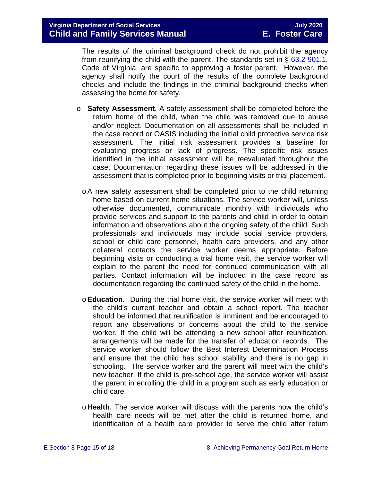The results of the criminal background check do not prohibit the agency from reunifying the child with the parent. The standards set in  $\S$  [63.2-901.1,](https://law.lis.virginia.gov/vacode/63.2-901.1/) Code of Virginia, are specific to approving a foster parent. However, the agency shall notify the court of the results of the complete background checks and include the findings in the criminal background checks when assessing the home for safety.

- o **Safety Assessment**. A safety assessment shall be completed before the return home of the child, when the child was removed due to abuse and/or neglect. Documentation on all assessments shall be included in the case record or OASIS including the initial child protective service risk assessment. The initial risk assessment provides a baseline for evaluating progress or lack of progress. The specific risk issues identified in the initial assessment will be reevaluated throughout the case. Documentation regarding these issues will be addressed in the assessment that is completed prior to beginning visits or trial placement.
	- oA new safety assessment shall be completed prior to the child returning home based on current home situations. The service worker will, unless otherwise documented, communicate monthly with individuals who provide services and support to the parents and child in order to obtain information and observations about the ongoing safety of the child. Such professionals and individuals may include social service providers, school or child care personnel, health care providers, and any other collateral contacts the service worker deems appropriate. Before beginning visits or conducting a trial home visit, the service worker will explain to the parent the need for continued communication with all parties. Contact information will be included in the case record as documentation regarding the continued safety of the child in the home.
	- o**Education**. During the trial home visit, the service worker will meet with the child's current teacher and obtain a school report. The teacher should be informed that reunification is imminent and be encouraged to report any observations or concerns about the child to the service worker. If the child will be attending a new school after reunification, arrangements will be made for the transfer of education records. The service worker should follow the Best Interest Determination Process and ensure that the child has school stability and there is no gap in schooling. The service worker and the parent will meet with the child's new teacher. If the child is pre-school age, the service worker will assist the parent in enrolling the child in a program such as early education or child care.
	- o **Health**. The service worker will discuss with the parents how the child's health care needs will be met after the child is returned home, and identification of a health care provider to serve the child after return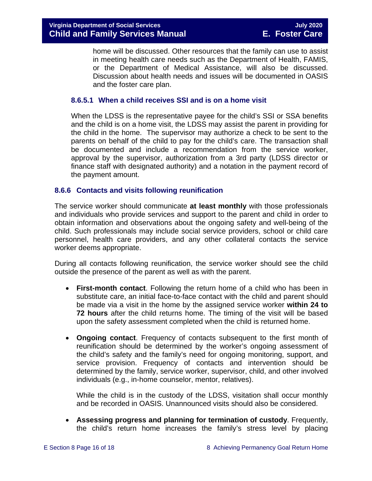home will be discussed. Other resources that the family can use to assist in meeting health care needs such as the Department of Health, FAMIS, or the Department of Medical Assistance, will also be discussed. Discussion about health needs and issues will be documented in OASIS and the foster care plan.

## **8.6.5.1 When a child receives SSI and is on a home visit**

When the LDSS is the representative payee for the child's SSI or SSA benefits and the child is on a home visit, the LDSS may assist the parent in providing for the child in the home. The supervisor may authorize a check to be sent to the parents on behalf of the child to pay for the child's care. The transaction shall be documented and include a recommendation from the service worker, approval by the supervisor, authorization from a 3rd party (LDSS director or finance staff with designated authority) and a notation in the payment record of the payment amount.

#### <span id="page-15-0"></span>**8.6.6 Contacts and visits following reunification**

The service worker should communicate **at least monthly** with those professionals and individuals who provide services and support to the parent and child in order to obtain information and observations about the ongoing safety and well-being of the child. Such professionals may include social service providers, school or child care personnel, health care providers, and any other collateral contacts the service worker deems appropriate.

During all contacts following reunification, the service worker should see the child outside the presence of the parent as well as with the parent.

- **First-month contact**. Following the return home of a child who has been in substitute care, an initial face-to-face contact with the child and parent should be made via a visit in the home by the assigned service worker **within 24 to 72 hours** after the child returns home. The timing of the visit will be based upon the safety assessment completed when the child is returned home.
- **Ongoing contact**. Frequency of contacts subsequent to the first month of reunification should be determined by the worker's ongoing assessment of the child's safety and the family's need for ongoing monitoring, support, and service provision. Frequency of contacts and intervention should be determined by the family, service worker, supervisor, child, and other involved individuals (e.g., in-home counselor, mentor, relatives).

While the child is in the custody of the LDSS, visitation shall occur monthly and be recorded in OASIS. Unannounced visits should also be considered.

• **Assessing progress and planning for termination of custody**. Frequently, the child's return home increases the family's stress level by placing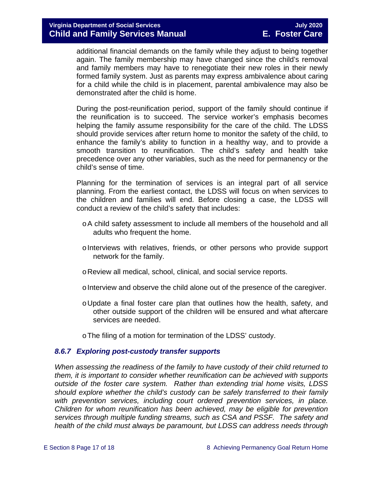additional financial demands on the family while they adjust to being together again. The family membership may have changed since the child's removal and family members may have to renegotiate their new roles in their newly formed family system. Just as parents may express ambivalence about caring for a child while the child is in placement, parental ambivalence may also be demonstrated after the child is home.

During the post-reunification period, support of the family should continue if the reunification is to succeed. The service worker's emphasis becomes helping the family assume responsibility for the care of the child. The LDSS should provide services after return home to monitor the safety of the child, to enhance the family's ability to function in a healthy way, and to provide a smooth transition to reunification. The child's safety and health take precedence over any other variables, such as the need for permanency or the child's sense of time.

Planning for the termination of services is an integral part of all service planning. From the earliest contact, the LDSS will focus on when services to the children and families will end. Before closing a case, the LDSS will conduct a review of the child's safety that includes:

- oA child safety assessment to include all members of the household and all adults who frequent the home.
- oInterviews with relatives, friends, or other persons who provide support network for the family.
- oReview all medical, school, clinical, and social service reports.
- oInterview and observe the child alone out of the presence of the caregiver.
- oUpdate a final foster care plan that outlines how the health, safety, and other outside support of the children will be ensured and what aftercare services are needed.
- oThe filing of a motion for termination of the LDSS' custody.

#### <span id="page-16-0"></span>*8.6.7 Exploring post-custody transfer supports*

*When assessing the readiness of the family to have custody of their child returned to them, it is important to consider whether reunification can be achieved with supports outside of the foster care system. Rather than extending trial home visits, LDSS should explore whether the child's custody can be safely transferred to their family*  with prevention services, including court ordered prevention services, in place. *Children for whom reunification has been achieved, may be eligible for prevention services through multiple funding streams, such as CSA and PSSF. The safety and health of the child must always be paramount, but LDSS can address needs through*